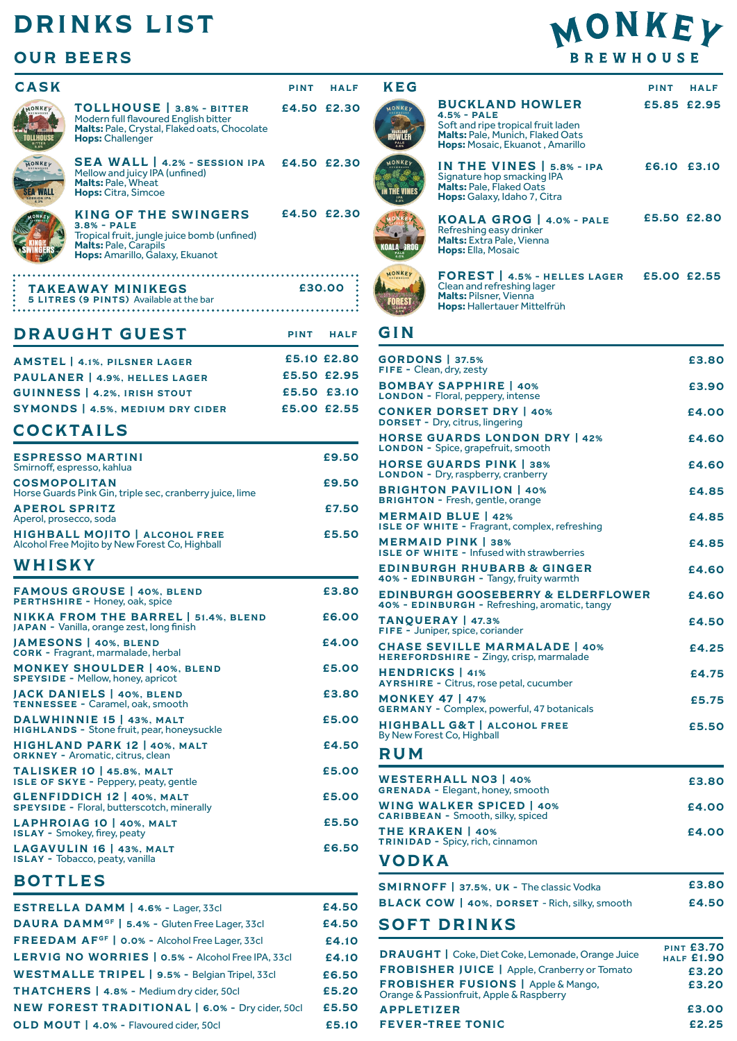## DRINKS LIST

## OUR BEERS

| A J N                                          |                                                                                                                                                                | PINT                                      | HALF        |
|------------------------------------------------|----------------------------------------------------------------------------------------------------------------------------------------------------------------|-------------------------------------------|-------------|
| MONKEY<br>OLLHOUSE                             | TOLLHOUSE   3.8% - BITTER<br>Modern full flavoured English bitter<br>Malts: Pale, Crystal, Flaked oats, Chocolate<br><b>Hops: Challenger</b>                   | £4.50 £2.30                               |             |
| MONKEY<br>17 WALL<br>SSION IP                  | SEA WALL   4.2% - SESSION IPA £4.50 £2.30<br>Mellow and juicy IPA (unfined)<br><b>Malts: Pale, Wheat</b><br>Hops: Citra, Simcoe                                |                                           |             |
| ONKEY                                          | <b>KING OF THE SWINGERS</b><br>$3.8% - PALE$<br>Tropical fruit, jungle juice bomb (unfined)<br><b>Malts: Pale, Carapils</b><br>Hops: Amarillo, Galaxy, Ekuanot | £4.50 £2.30                               |             |
|                                                | <b>TAKEAWAY MINIKEGS</b><br>5 LITRES (9 PINTS) Available at the bar                                                                                            |                                           | £30.00      |
|                                                | <b>DRAUGHT GUEST</b>                                                                                                                                           | <b>PINT</b>                               | <b>HALF</b> |
|                                                | <b>AMSTEL   4.1%, PILSNER LAGER</b><br>PAULANER   4.9%, HELLES LAGER<br><b>GUINNESS   4.2%. IRISH STOUT</b><br><b>SYMONDS</b>   4.5%, MEDIUM DRY CIDER         | £5.50 £2.95<br>£5.50 £3.10<br>£5.00 £2.55 | £5.10 £2.80 |
|                                                | <b>COCKTAILS</b>                                                                                                                                               |                                           |             |
|                                                | <b>ESPRESSO MARTINI</b><br>Smirnoff, espresso, kahlua                                                                                                          |                                           | £9.50       |
| <b>COSMOPOLITAN</b>                            | Horse Guards Pink Gin, triple sec, cranberry juice, lime                                                                                                       |                                           | £9.50       |
| <b>APEROL SPRITZ</b><br>Aperol, prosecco, soda |                                                                                                                                                                |                                           | £7.50       |
|                                                | HIGHBALL MOJITO   ALCOHOL FREE<br>Alcohol Free Mojito by New Forest Co, Highball                                                                               |                                           | £5.50       |
| WHISKY                                         |                                                                                                                                                                |                                           |             |
|                                                | <b>FAMOUS GROUSE   40%, BLEND</b><br>PERTHSHIRE - Honey, oak, spice                                                                                            |                                           | £3.80       |
|                                                | NIKKA FROM THE BARREL   51.4%, BLEND<br><b>JAPAN</b> - Vanilla, orange zest, long finish                                                                       |                                           | £6.00       |
|                                                | JAMESONS   40%, BLEND<br>CORK - Fragrant, marmalade, herbal                                                                                                    |                                           | £4.00       |
|                                                | <b>MONKEY SHOULDER   40%, BLEND</b><br><b>SPEYSIDE - Mellow, honey, apricot</b>                                                                                |                                           | £5.00       |
|                                                | JACK DANIELS   40%, BLEND<br>TENNESSEE - Caramel, oak, smooth                                                                                                  |                                           | £3.80       |
|                                                | DALWHINNIE 15   43%, MALT<br>HIGHLANDS - Stone fruit, pear, honeysuckle                                                                                        |                                           | £5.00       |
|                                                | HIGHLAND PARK 12   40%, MALT<br><b>ORKNEY - Aromatic, citrus, clean</b>                                                                                        |                                           | £4.50       |
|                                                | <b>TALISKER 10   45.8%, MALT</b><br>ISLE OF SKYE - Peppery, peaty, gentle                                                                                      |                                           | £5.00       |
|                                                | GLENFIDDICH 12   40%, MALT<br><b>SPEYSIDE - Floral, butterscotch, minerally</b>                                                                                |                                           | £5.00       |
|                                                | LAPHROIAG 10   40%, MALT<br><b>ISLAY</b> - Smokey, firey, peaty                                                                                                |                                           | £5.50       |
|                                                | LAGAVULIN 16   43%, MALT<br><b>ISLAY - Tobacco, peaty, vanilla</b>                                                                                             |                                           | £6.50       |
|                                                | $-1$ $-1$                                                                                                                                                      |                                           |             |

## BOTTLES

| ESTRELLA DAMM   4.6% - Lager, 33cl                         | £4.50 |
|------------------------------------------------------------|-------|
| DAURA DAMM <sup>GF</sup>   5.4% - Gluten Free Lager, 33cl  | £4.50 |
| FREEDAM AF <sup>GF</sup>   0.0% - Alcohol Free Lager, 33cl | £4.10 |
| LERVIG NO WORRIES   0.5% - Alcohol Free IPA, 33cl          | £4.10 |
| WESTMALLE TRIPEL   9.5% - Belgian Tripel, 33cl             | £6.50 |
| THATCHERS   4.8% - Medium dry cider, 50cl                  | £5.20 |
| <b>NEW FOREST TRADITIONAL   6.0% - Dry cider, 50cl</b>     | £5.50 |
| OLD MOUT   4.0% - Flavoured cider, 50cl                    | £5.10 |

# MONKEY **BREWHOUSE**

| <b>CASK</b>                |                                                                                                                                                                | <b>PINT</b> | <b>HALF</b> | <b>KEG</b>                 |                                                                                                                                                      | <b>PINT</b> | <b>HALF</b> |
|----------------------------|----------------------------------------------------------------------------------------------------------------------------------------------------------------|-------------|-------------|----------------------------|------------------------------------------------------------------------------------------------------------------------------------------------------|-------------|-------------|
| MONKEY<br><b>TOLLHOUSE</b> | TOLLHOUSE   3.8% - BITTER<br>Modern full flavoured English bitter<br>Malts: Pale, Crystal, Flaked oats, Chocolate<br><b>Hops:</b> Challenger                   |             | £4.50 £2.30 | MONKEY<br>Iowler<br>PALE   | <b>BUCKLAND HOWLER</b><br>$4.5% - PALE$<br>Soft and ripe tropical fruit laden<br>Malts: Pale, Munich, Flaked Oats<br>Hops: Mosaic, Ekuanot, Amarillo | £5.85 £2.95 |             |
| MONKEY<br><b>SEA WALL</b>  | <b>SEA WALL</b>   4.2% - SESSION IPA<br>Mellow and juicy IPA (unfined)<br><b>Malts: Pale, Wheat</b><br><b>Hops:</b> Citra, Simcoe                              | £4.50 £2.30 |             | MONKEY<br><b>HE VINES</b>  | IN THE VINES   5.8% - IPA<br>Signature hop smacking IPA<br>Malts: Pale, Flaked Oats<br>Hops: Galaxy, Idaho 7, Citra                                  | £6.10 £3.10 |             |
|                            | <b>KING OF THE SWINGERS</b><br>$3.8% - PALE$<br>Tropical fruit, jungle juice bomb (unfined)<br><b>Malts: Pale, Carapils</b><br>Hops: Amarillo, Galaxy, Ekuanot |             | £4.50 £2.30 | KOALA GROG<br>PALE         | <b>KOALA GROG   4.0% - PALE</b><br>Refreshing easy drinker<br><b>Malts:</b> Extra Pale, Vienna<br>Hops: Ella, Mosaic                                 |             | £5.50 £2.80 |
|                            | <b>TAKEAWAY MINIKEGS</b>                                                                                                                                       |             | £30.00      | MONKEY<br><b>BREMHOUSE</b> | FOREST   4.5% - HELLES LAGER<br>Clean and refreshing lager<br><b>Malts: Pilsner, Vienna</b>                                                          | £5.00 £2.55 |             |
|                            | 5 LITRES (9 PINTS) Available at the bar                                                                                                                        |             |             |                            | Hops: Hallertauer Mittelfrüh                                                                                                                         |             |             |

### GIN

| <b>GORDONS   37.5%</b><br>FIFE - Clean, dry, zesty                                             | £3.80                                  |
|------------------------------------------------------------------------------------------------|----------------------------------------|
| <b>BOMBAY SAPPHIRE   40%</b><br>LONDON - Floral, peppery, intense                              | £3.90                                  |
| <b>CONKER DORSET DRY   40%</b><br><b>DORSET - Dry, citrus, lingering</b>                       | £4.00                                  |
| <b>HORSE GUARDS LONDON DRY   42%</b><br><b>LONDON</b> - Spice, grapefruit, smooth              | £4.60                                  |
| <b>HORSE GUARDS PINK   38%</b><br><b>LONDON - Dry, raspberry, cranberry</b>                    | £4.60                                  |
| <b>BRIGHTON PAVILION   40%</b><br><b>BRIGHTON - Fresh, gentle, orange</b>                      | £4.85                                  |
| <b>MERMAID BLUE   42%</b><br>ISLE OF WHITE - Fragrant, complex, refreshing                     | £4.85                                  |
| <b>MERMAID PINK   38%</b><br><b>ISLE OF WHITE - Infused with strawberries</b>                  | £4.85                                  |
| <b>EDINBURGH RHUBARB &amp; GINGER</b><br>40% - EDINBURGH - Tangy, fruity warmth                | £4.60                                  |
| <b>EDINBURGH GOOSEBERRY &amp; ELDERFLOWER</b><br>40% - EDINBURGH - Refreshing, aromatic, tangy | £4.60                                  |
| <b>TANOUERAY   47.3%</b><br>FIFE - Juniper, spice, coriander                                   | £4.50                                  |
| <b>CHASE SEVILLE MARMALADE   40%</b><br>HEREFORDSHIRE - Zingy, crisp, marmalade                | £4.25                                  |
| <b>HENDRICKS</b>   41%<br><b>AYRSHIRE - Citrus, rose petal, cucumber</b>                       | £4.75                                  |
| <b>MONKEY 47   47%</b><br><b>GERMANY - Complex, powerful, 47 botanicals</b>                    | £5.75                                  |
| <b>HIGHBALL G&amp;T   ALCOHOL FREE</b><br>By New Forest Co, Highball                           | £5.50                                  |
| <b>RUM</b>                                                                                     |                                        |
| <b>WESTERHALL NO3   40%</b><br><b>GRENADA - Elegant, honey, smooth</b>                         | £3.80                                  |
| <b>WING WALKER SPICED   40%</b><br><b>CARIBBEAN - Smooth, silky, spiced</b>                    | £4.00                                  |
| <b>THE KRAKEN   40%</b><br>TRINIDAD - Spicy, rich, cinnamon                                    | £4.00                                  |
| <b>VODKA</b>                                                                                   |                                        |
| <b>SMIRNOFF</b>   37.5%, UK - The classic Vodka                                                | £3.80                                  |
| <b>BLACK COW   40%, DORSET - Rich, silky, smooth</b>                                           | £4.50                                  |
| <b>SOFT DRINKS</b>                                                                             |                                        |
| <b>DRAUGHT</b>   Coke, Diet Coke, Lemonade, Orange Juice                                       | <b>PINT £3.70</b><br><b>HALF £1.90</b> |
| <b>FROBISHER JUICE</b>   Apple, Cranberry or Tomato                                            | £3.20                                  |
| <b>FROBISHER FUSIONS</b>   Apple & Mango,<br>Orange & Passionfruit, Apple & Raspberry          | £3.20                                  |
| <b>APPLETIZER</b>                                                                              | £3.00                                  |

#### FEVER-TREE TONIC

£2.25